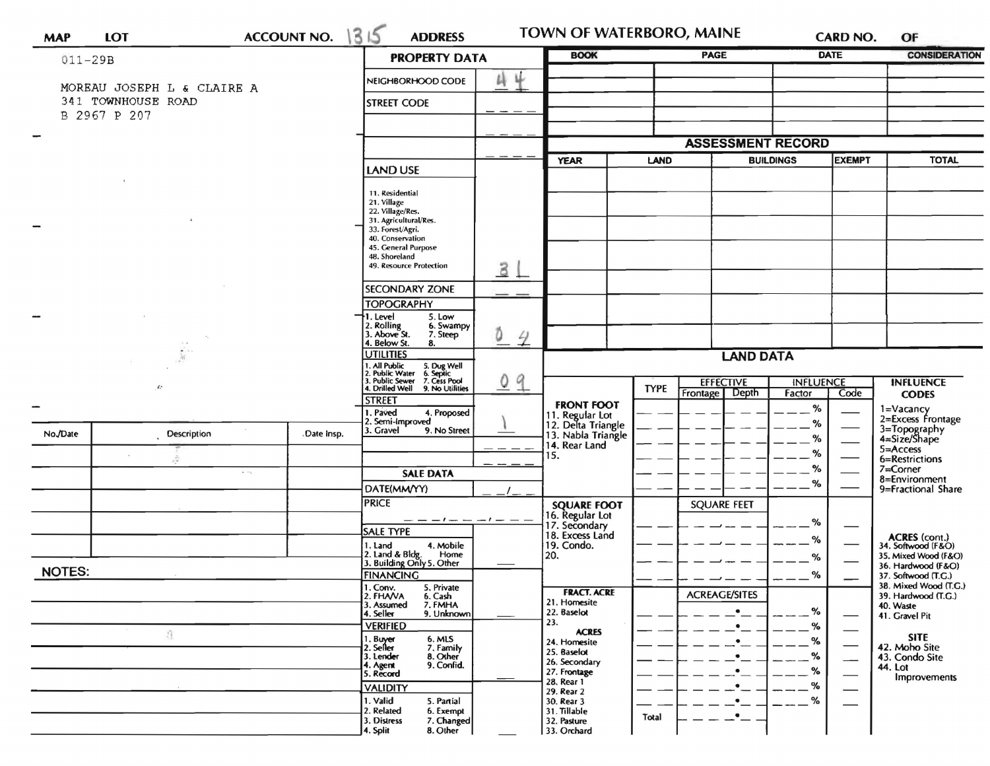| <b>MAP</b>               | <b>LOT</b>                                       | <b>ACCOUNT NO.</b> | 1315<br><b>ADDRESS</b>                                                                          |                    | TOWN OF WATERBORO, MAINE                                   |             |                                    |                                   | CARD NO.                 | OF                                           |
|--------------------------|--------------------------------------------------|--------------------|-------------------------------------------------------------------------------------------------|--------------------|------------------------------------------------------------|-------------|------------------------------------|-----------------------------------|--------------------------|----------------------------------------------|
| $011 - 29B$              |                                                  |                    | <b>PROPERTY DATA</b>                                                                            |                    | <b>BOOK</b>                                                |             | <b>PAGE</b>                        |                                   | <b>DATE</b>              | <b>CONSIDERATION</b>                         |
|                          |                                                  |                    | 4<br>Ц<br>NEIGHBORHOOD CODE                                                                     |                    |                                                            |             |                                    |                                   |                          |                                              |
|                          | MOREAU JOSEPH L & CLAIRE A<br>341 TOWNHOUSE ROAD |                    | <b>STREET CODE</b>                                                                              |                    |                                                            |             |                                    |                                   |                          |                                              |
|                          | B 2967 P 207                                     |                    |                                                                                                 |                    |                                                            |             |                                    |                                   |                          |                                              |
| $\overline{\phantom{0}}$ |                                                  |                    |                                                                                                 |                    | <b>ASSESSMENT RECORD</b>                                   |             |                                    |                                   |                          |                                              |
|                          |                                                  |                    | <b>LAND USE</b>                                                                                 |                    | <b>YEAR</b>                                                | <b>LAND</b> |                                    | <b>EXEMPT</b><br><b>BUILDINGS</b> |                          | <b>TOTAL</b>                                 |
|                          |                                                  |                    |                                                                                                 |                    |                                                            |             |                                    |                                   |                          |                                              |
|                          |                                                  |                    | 11. Residential<br>21. Village                                                                  |                    |                                                            |             |                                    |                                   |                          |                                              |
|                          |                                                  |                    | 22. Village/Res.<br>31. Agricultural/Res.                                                       |                    |                                                            |             |                                    |                                   |                          |                                              |
|                          |                                                  |                    | 33. Forest/Agri.<br>40. Conservation<br>45. General Purpose                                     |                    |                                                            |             |                                    |                                   |                          |                                              |
|                          |                                                  |                    | 48. Shoreland<br>49. Resource Protection                                                        |                    |                                                            |             |                                    |                                   |                          |                                              |
|                          |                                                  |                    |                                                                                                 | 31                 |                                                            |             |                                    |                                   |                          |                                              |
|                          |                                                  |                    | <b>SECONDARY ZONE</b><br><b>TOPOGRAPHY</b>                                                      |                    |                                                            |             |                                    |                                   |                          |                                              |
|                          |                                                  |                    | 5. Low<br>. Level                                                                               |                    |                                                            |             |                                    |                                   |                          |                                              |
|                          |                                                  |                    | Rolling<br>Above St.<br>6. Swampy<br>7. Steep<br>. Below St.                                    | Õ<br>$\frac{4}{1}$ |                                                            |             |                                    |                                   |                          |                                              |
|                          |                                                  |                    | 8.<br><b>JTILITIES</b>                                                                          |                    | <b>LAND DATA</b>                                           |             |                                    |                                   |                          |                                              |
|                          |                                                  |                    | I. All Public<br>?. Public Water<br>}. Public Sewer<br>5. Dug Well<br>6. Septic<br>7. Cess Pool |                    |                                                            |             |                                    |                                   |                          |                                              |
|                          | $\epsilon$                                       |                    | . Drilled Well<br>9. No Utilities<br><b>STREET</b>                                              | 9<br>0             |                                                            | <b>TYPE</b> | <b>EFFECTIVE</b><br>Frontage Depth | <b>INFLUENCE</b><br>Factor        | Code                     | <b>INFLUENCE</b><br><b>CODES</b>             |
|                          |                                                  |                    | I. Paved<br>4. Proposed                                                                         |                    | <b>FRONT FOOT</b><br>11. Regular Lot<br>12. Delta Triangle |             |                                    | $\%$                              |                          | 1=Vacancy<br>2=Excess Frontage               |
| No./Date                 | <b>Description</b>                               | Date Insp.         | 2. Semi-Improved<br>3. Gravel<br>9. No Street                                                   |                    | 13. Nabla Triangle                                         |             |                                    | %<br>%                            |                          | 3=Topography<br>4=Size/Shape                 |
|                          |                                                  |                    |                                                                                                 |                    | 14. Rear Land<br>15.                                       |             |                                    | %                                 |                          | 5=Access<br>6=Restrictions                   |
|                          |                                                  | $\sim$ $\sim$      | <b>SALE DATA</b>                                                                                |                    |                                                            |             |                                    | %                                 |                          | 7=Corner                                     |
|                          |                                                  |                    | DATE(MM/YY)                                                                                     |                    |                                                            |             |                                    | %                                 |                          | 8=Environment<br>9=Fractional Share          |
|                          |                                                  |                    | <b>PRICE</b>                                                                                    |                    | <b>SQUARE FOOT</b><br>16. Regular Lot                      |             | <b>SQUARE FEET</b>                 |                                   |                          |                                              |
|                          |                                                  |                    | SALE TYPE                                                                                       |                    | 17. Secondary<br>18. Excess Land                           |             |                                    | %                                 |                          |                                              |
|                          |                                                  |                    | 1. Land<br>4. Mobile<br>2. Land & Bldg.<br>Home                                                 |                    | 19. Condo.                                                 |             |                                    | %                                 |                          | ACRES (cont.)<br>34. Softwood (F&O)          |
| <b>NOTES:</b>            |                                                  |                    | 3. Building Only 5. Other                                                                       |                    | 20.                                                        |             |                                    | %                                 |                          | 35. Mixed Wood (F&O)<br>36. Hardwood (F&O)   |
|                          |                                                  |                    | <b>FINANCING</b><br>1. Conv.<br>5. Private                                                      |                    | <b>FRACT. ACRE</b>                                         |             |                                    | %                                 |                          | 37. Softwood (T.G.)<br>38. Mixed Wood (T.G.) |
|                          |                                                  |                    | 2. FHAVA<br>6. Cash<br>3. Assumed<br>7. FMHA                                                    |                    | 21. Homesite                                               |             | <b>ACREAGE/SITES</b><br>$\bullet$  | %                                 |                          | 39. Hardwood (T.G.)<br>40. Waste             |
|                          |                                                  |                    | 9. Unknown<br>4. Seller<br><b>VERIFIED</b>                                                      |                    | 22. Baselot<br>23.                                         |             | $\bullet$                          | %                                 |                          | 41. Gravel Pit                               |
|                          | â.                                               |                    | 1. Buyer<br>2. Seller<br>6. MLS<br>7. Family                                                    |                    | <b>ACRES</b><br>24. Homesite                               |             | ٠                                  | %                                 | $\overline{\phantom{0}}$ | <b>SITE</b><br>42. Moho Site                 |
|                          |                                                  |                    | 8. Other<br>3. Lender<br>9. Confid.<br>4. Agent                                                 |                    | 25. Baselot<br>26. Secondary                               |             |                                    | %                                 |                          | 43. Condo Site<br>44. Lot                    |
|                          |                                                  |                    | 5. Record<br><b>VALIDITY</b>                                                                    |                    | 27. Frontage<br>28. Rear 1                                 |             |                                    | %<br>%                            |                          | Improvements                                 |
|                          |                                                  |                    | 1. Valid<br>5. Partial                                                                          |                    | 29. Rear 2<br>30. Rear 3                                   |             |                                    | %                                 |                          |                                              |
|                          |                                                  |                    | 2. Related<br>6. Exempt<br>3. Distress<br>7. Changed                                            |                    | 31. Tillable<br>32. Pasture                                | Total       |                                    |                                   |                          |                                              |
|                          |                                                  |                    | 4. Split<br>8. Other                                                                            |                    | 33. Orchard                                                |             |                                    |                                   |                          |                                              |